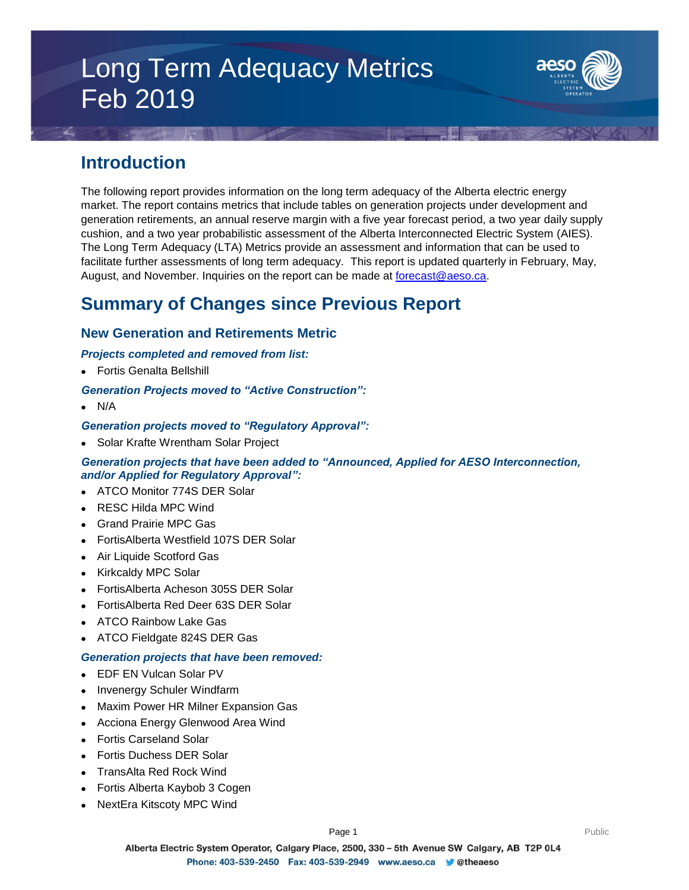# Long Term Adequacy Metrics Feb 2019



# **Introduction**

The following report provides information on the long term adequacy of the Alberta electric energy market. The report contains metrics that include tables on generation projects under development and generation retirements, an annual reserve margin with a five year forecast period, a two year daily supply cushion, and a two year probabilistic assessment of the Alberta Interconnected Electric System (AIES). The Long Term Adequacy (LTA) Metrics provide an assessment and information that can be used to facilitate further assessments of long term adequacy. This report is updated quarterly in February, May, August, and November. Inquiries on the report can be made at [forecast@aeso.ca.](mailto:forecast@aeso.ca)

# **Summary of Changes since Previous Report**

# **New Generation and Retirements Metric**

### *Projects completed and removed from list:*

Fortis Genalta Bellshill

### *Generation Projects moved to "Active Construction":*

 $\bullet$  N/A

### *Generation projects moved to "Regulatory Approval":*

• Solar Krafte Wrentham Solar Project

### *Generation projects that have been added to "Announced, Applied for AESO Interconnection, and/or Applied for Regulatory Approval":*

- ATCO Monitor 774S DER Solar
- RESC Hilda MPC Wind
- Grand Prairie MPC Gas
- FortisAlberta Westfield 107S DER Solar
- Air Liquide Scotford Gas
- Kirkcaldy MPC Solar
- FortisAlberta Acheson 305S DER Solar
- FortisAlberta Red Deer 63S DER Solar
- ATCO Rainbow Lake Gas
- ATCO Fieldgate 824S DER Gas

### *Generation projects that have been removed:*

- EDF EN Vulcan Solar PV
- Invenergy Schuler Windfarm
- Maxim Power HR Milner Expansion Gas
- Acciona Energy Glenwood Area Wind
- Fortis Carseland Solar
- Fortis Duchess DER Solar
- TransAlta Red Rock Wind
- Fortis Alberta Kaybob 3 Cogen
- NextEra Kitscoty MPC Wind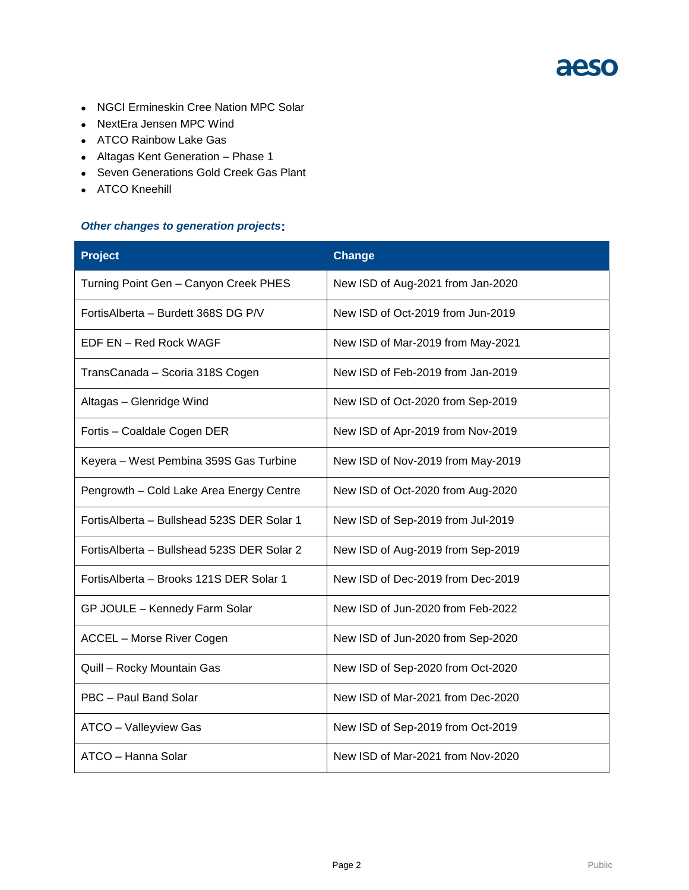

- NGCI Ermineskin Cree Nation MPC Solar
- NextEra Jensen MPC Wind
- ATCO Rainbow Lake Gas
- Altagas Kent Generation Phase 1
- Seven Generations Gold Creek Gas Plant
- ATCO Kneehill

#### *Other changes to generation projects***:**

| <b>Project</b>                              | <b>Change</b>                     |
|---------------------------------------------|-----------------------------------|
| Turning Point Gen - Canyon Creek PHES       | New ISD of Aug-2021 from Jan-2020 |
| FortisAlberta - Burdett 368S DG P/V         | New ISD of Oct-2019 from Jun-2019 |
| EDF EN - Red Rock WAGF                      | New ISD of Mar-2019 from May-2021 |
| TransCanada - Scoria 318S Cogen             | New ISD of Feb-2019 from Jan-2019 |
| Altagas - Glenridge Wind                    | New ISD of Oct-2020 from Sep-2019 |
| Fortis - Coaldale Cogen DER                 | New ISD of Apr-2019 from Nov-2019 |
| Keyera – West Pembina 359S Gas Turbine      | New ISD of Nov-2019 from May-2019 |
| Pengrowth - Cold Lake Area Energy Centre    | New ISD of Oct-2020 from Aug-2020 |
| Fortis Alberta - Bullshead 523S DER Solar 1 | New ISD of Sep-2019 from Jul-2019 |
| Fortis Alberta - Bullshead 523S DER Solar 2 | New ISD of Aug-2019 from Sep-2019 |
| Fortis Alberta - Brooks 121S DER Solar 1    | New ISD of Dec-2019 from Dec-2019 |
| GP JOULE - Kennedy Farm Solar               | New ISD of Jun-2020 from Feb-2022 |
| <b>ACCEL - Morse River Cogen</b>            | New ISD of Jun-2020 from Sep-2020 |
| Quill - Rocky Mountain Gas                  | New ISD of Sep-2020 from Oct-2020 |
| PBC - Paul Band Solar                       | New ISD of Mar-2021 from Dec-2020 |
| ATCO - Valleyview Gas                       | New ISD of Sep-2019 from Oct-2019 |
| ATCO - Hanna Solar                          | New ISD of Mar-2021 from Nov-2020 |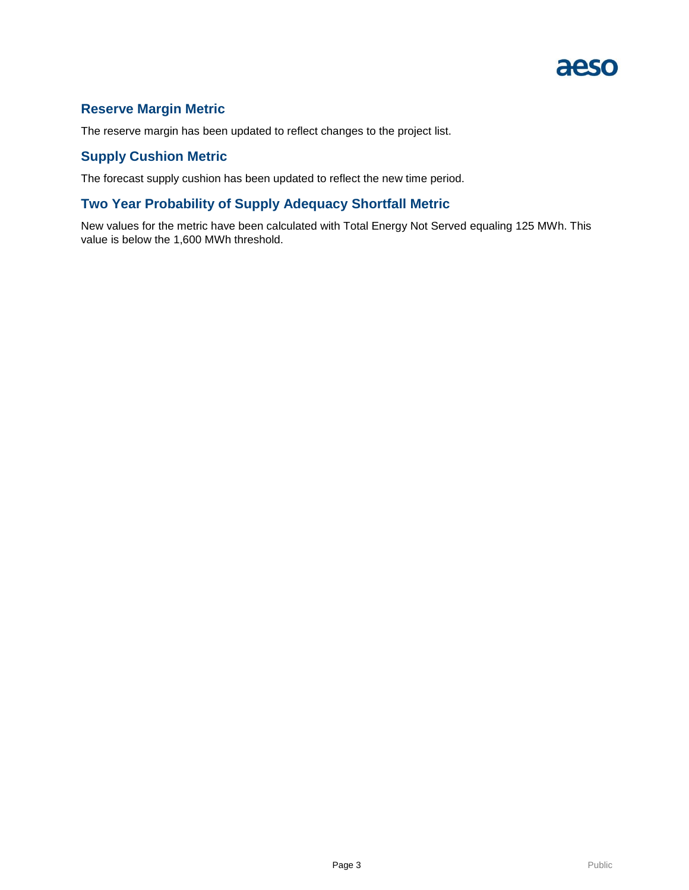

# **Reserve Margin Metric**

The reserve margin has been updated to reflect changes to the project list.

# **Supply Cushion Metric**

The forecast supply cushion has been updated to reflect the new time period.

### **Two Year Probability of Supply Adequacy Shortfall Metric**

New values for the metric have been calculated with Total Energy Not Served equaling 125 MWh. This value is below the 1,600 MWh threshold.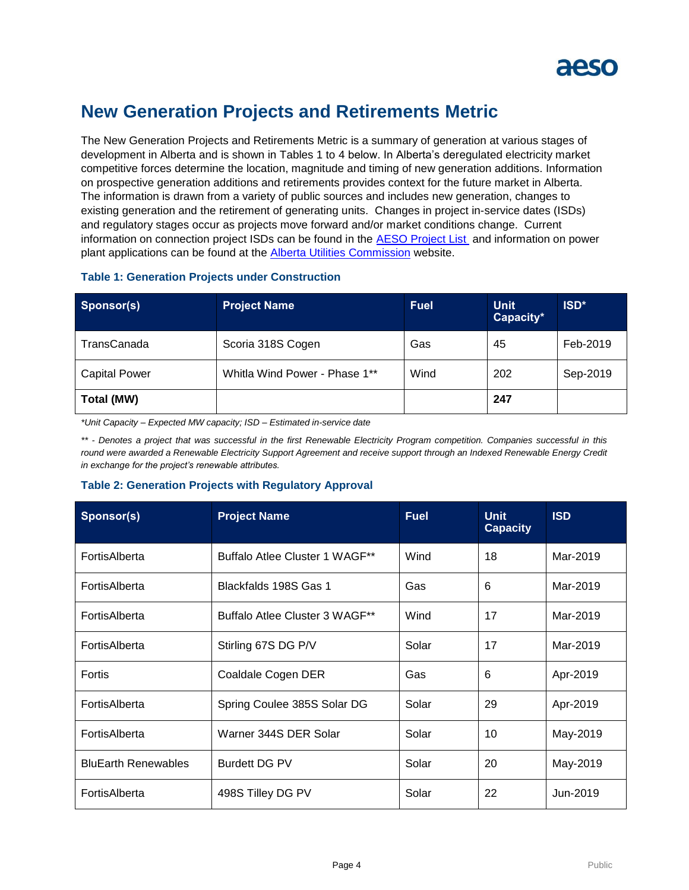

# **New Generation Projects and Retirements Metric**

The New Generation Projects and Retirements Metric is a summary of generation at various stages of development in Alberta and is shown in Tables 1 to 4 below. In Alberta's deregulated electricity market competitive forces determine the location, magnitude and timing of new generation additions. Information on prospective generation additions and retirements provides context for the future market in Alberta. The information is drawn from a variety of public sources and includes new generation, changes to existing generation and the retirement of generating units. Changes in project in-service dates (ISDs) and regulatory stages occur as projects move forward and/or market conditions change. Current information on connection project ISDs can be found in the [AESO Project List](https://www.aeso.ca/grid/connecting-to-the-grid/) and information on power plant applications can be found at the **Alberta Utilities Commission** website.

| Sponsor(s)           | <b>Project Name</b>           | <b>Fuel</b> | <b>Unit</b><br>Capacity* | ISD <sup>*</sup> |
|----------------------|-------------------------------|-------------|--------------------------|------------------|
| TransCanada          | Scoria 318S Cogen             | Gas         | 45                       | Feb-2019         |
| <b>Capital Power</b> | Whitla Wind Power - Phase 1** | Wind        | 202                      | Sep-2019         |
| Total (MW)           |                               |             | 247                      |                  |

#### **Table 1: Generation Projects under Construction**

*\*Unit Capacity – Expected MW capacity; ISD – Estimated in-service date*

\*\* - Denotes a project that was successful in the first Renewable Electricity Program competition. Companies successful in this round were awarded a Renewable Electricity Support Agreement and receive support through an Indexed Renewable Energy Credit *in exchange for the project's renewable attributes.* 

### **Table 2: Generation Projects with Regulatory Approval**

| Sponsor(s)                 | <b>Project Name</b>            | <b>Fuel</b> | <b>Unit</b><br><b>Capacity</b> | <b>ISD</b> |
|----------------------------|--------------------------------|-------------|--------------------------------|------------|
| FortisAlberta              | Buffalo Atlee Cluster 1 WAGF** | Wind        | 18                             | Mar-2019   |
| FortisAlberta              | Blackfalds 198S Gas 1          | Gas         | 6                              | Mar-2019   |
| FortisAlberta              | Buffalo Atlee Cluster 3 WAGF** | Wind        | 17                             | Mar-2019   |
| FortisAlberta              | Stirling 67S DG P/V            | Solar       | 17                             | Mar-2019   |
| Fortis                     | Coaldale Cogen DER             | Gas         | 6                              | Apr-2019   |
| FortisAlberta              | Spring Coulee 385S Solar DG    | Solar       | 29                             | Apr-2019   |
| FortisAlberta              | Warner 344S DER Solar          | Solar       | 10                             | May-2019   |
| <b>BluEarth Renewables</b> | <b>Burdett DG PV</b>           | Solar       | 20                             | May-2019   |
| FortisAlberta              | 498S Tilley DG PV              | Solar       | 22                             | Jun-2019   |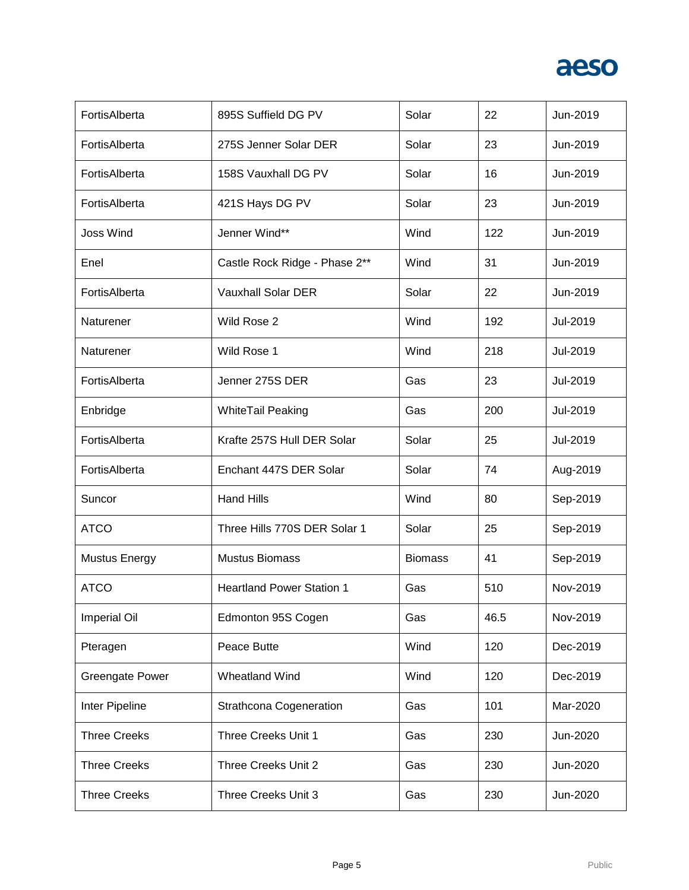

| FortisAlberta          | 895S Suffield DG PV              | Solar          | 22   | Jun-2019 |
|------------------------|----------------------------------|----------------|------|----------|
| FortisAlberta          | 275S Jenner Solar DER            | Solar          | 23   | Jun-2019 |
| FortisAlberta          | 158S Vauxhall DG PV              | Solar          | 16   | Jun-2019 |
| FortisAlberta          | 421S Hays DG PV                  | Solar          | 23   | Jun-2019 |
| <b>Joss Wind</b>       | Jenner Wind**                    | Wind           | 122  | Jun-2019 |
| Enel                   | Castle Rock Ridge - Phase 2**    | Wind           | 31   | Jun-2019 |
| FortisAlberta          | <b>Vauxhall Solar DER</b>        | Solar          | 22   | Jun-2019 |
| Naturener              | Wild Rose 2                      | Wind           | 192  | Jul-2019 |
| Naturener              | Wild Rose 1                      | Wind           | 218  | Jul-2019 |
| FortisAlberta          | Jenner 275S DER                  | Gas            | 23   | Jul-2019 |
| Enbridge               | <b>WhiteTail Peaking</b>         | Gas            | 200  | Jul-2019 |
| FortisAlberta          | Krafte 257S Hull DER Solar       | Solar          | 25   | Jul-2019 |
| FortisAlberta          | Enchant 447S DER Solar           | Solar          | 74   | Aug-2019 |
| Suncor                 | <b>Hand Hills</b>                | Wind           | 80   | Sep-2019 |
| <b>ATCO</b>            | Three Hills 770S DER Solar 1     | Solar          | 25   | Sep-2019 |
| <b>Mustus Energy</b>   | <b>Mustus Biomass</b>            | <b>Biomass</b> | 41   | Sep-2019 |
| <b>ATCO</b>            | <b>Heartland Power Station 1</b> | Gas            | 510  | Nov-2019 |
| <b>Imperial Oil</b>    | Edmonton 95S Cogen               | Gas            | 46.5 | Nov-2019 |
| Pteragen               | Peace Butte                      | Wind           | 120  | Dec-2019 |
| <b>Greengate Power</b> | Wheatland Wind                   | Wind           | 120  | Dec-2019 |
| Inter Pipeline         | Strathcona Cogeneration          | Gas            | 101  | Mar-2020 |
| <b>Three Creeks</b>    | Three Creeks Unit 1              | Gas            | 230  | Jun-2020 |
| <b>Three Creeks</b>    | Three Creeks Unit 2              | Gas            | 230  | Jun-2020 |
| <b>Three Creeks</b>    | Three Creeks Unit 3              | Gas            | 230  | Jun-2020 |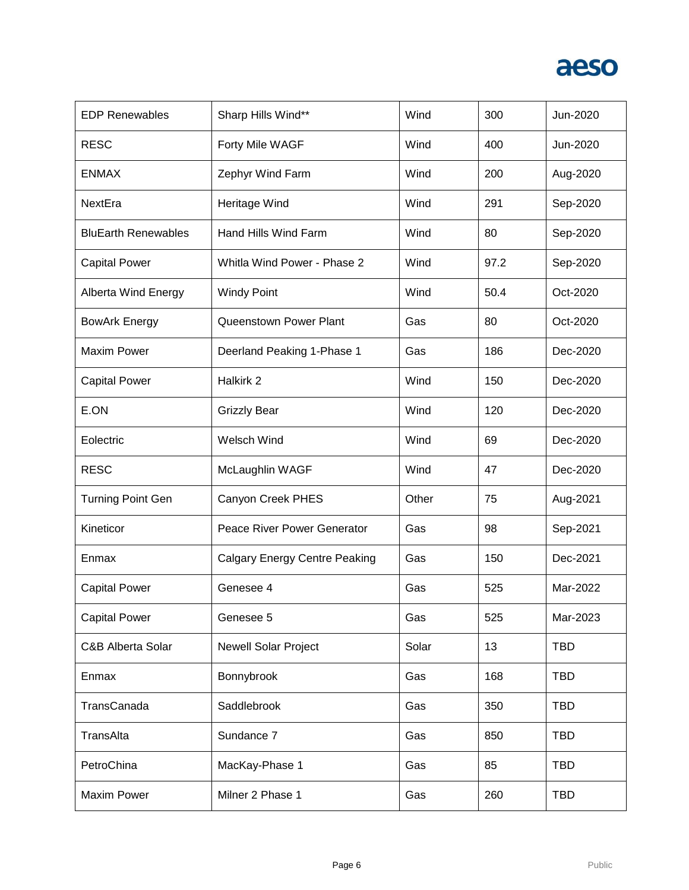

| <b>EDP Renewables</b>      | Sharp Hills Wind**                   | Wind  | 300  | Jun-2020   |
|----------------------------|--------------------------------------|-------|------|------------|
| <b>RESC</b>                | Forty Mile WAGF                      | Wind  | 400  | Jun-2020   |
| <b>ENMAX</b>               | Zephyr Wind Farm                     | Wind  | 200  | Aug-2020   |
| NextEra                    | Heritage Wind                        | Wind  | 291  | Sep-2020   |
| <b>BluEarth Renewables</b> | Hand Hills Wind Farm                 | Wind  | 80   | Sep-2020   |
| <b>Capital Power</b>       | Whitla Wind Power - Phase 2          | Wind  | 97.2 | Sep-2020   |
| Alberta Wind Energy        | <b>Windy Point</b>                   | Wind  | 50.4 | Oct-2020   |
| <b>BowArk Energy</b>       | Queenstown Power Plant               | Gas   | 80   | Oct-2020   |
| <b>Maxim Power</b>         | Deerland Peaking 1-Phase 1           | Gas   | 186  | Dec-2020   |
| <b>Capital Power</b>       | Halkirk 2                            | Wind  | 150  | Dec-2020   |
| E.ON                       | <b>Grizzly Bear</b>                  | Wind  | 120  | Dec-2020   |
| Eolectric                  | Welsch Wind                          | Wind  | 69   | Dec-2020   |
| <b>RESC</b>                | McLaughlin WAGF                      | Wind  | 47   | Dec-2020   |
| <b>Turning Point Gen</b>   | Canyon Creek PHES                    | Other | 75   | Aug-2021   |
| Kineticor                  | Peace River Power Generator          | Gas   | 98   | Sep-2021   |
| Enmax                      | <b>Calgary Energy Centre Peaking</b> | Gas   | 150  | Dec-2021   |
| <b>Capital Power</b>       | Genesee 4                            | Gas   | 525  | Mar-2022   |
| <b>Capital Power</b>       | Genesee 5                            | Gas   | 525  | Mar-2023   |
| C&B Alberta Solar          | Newell Solar Project                 | Solar | 13   | <b>TBD</b> |
| Enmax                      | Bonnybrook                           | Gas   | 168  | <b>TBD</b> |
| TransCanada                | Saddlebrook                          | Gas   | 350  | <b>TBD</b> |
| TransAlta                  | Sundance 7                           | Gas   | 850  | <b>TBD</b> |
| PetroChina                 | MacKay-Phase 1                       | Gas   | 85   | <b>TBD</b> |
| <b>Maxim Power</b>         | Milner 2 Phase 1                     | Gas   | 260  | <b>TBD</b> |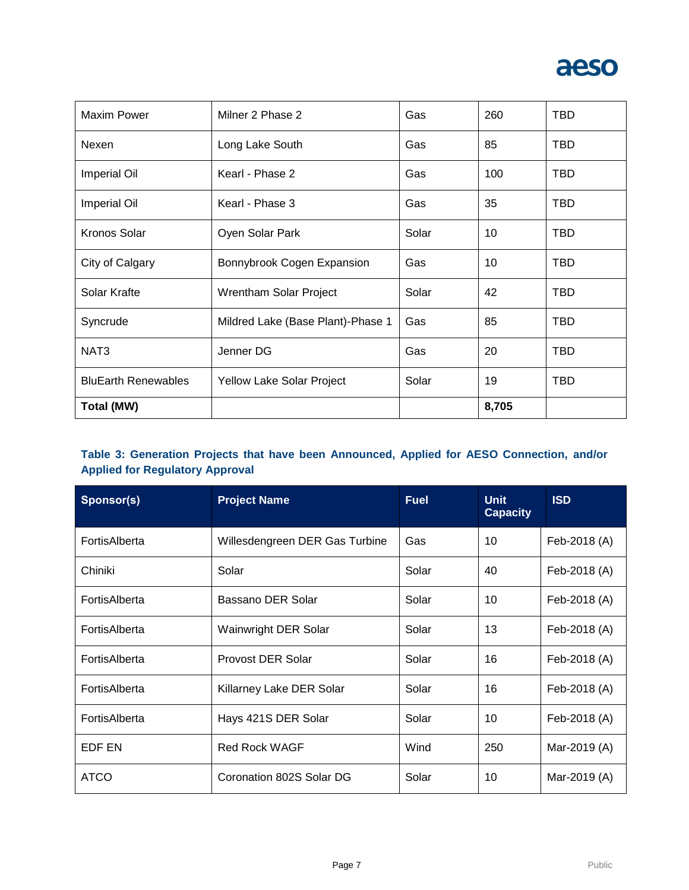

| <b>Maxim Power</b>         | Milner 2 Phase 2                  | Gas   | 260   | <b>TBD</b> |
|----------------------------|-----------------------------------|-------|-------|------------|
| Nexen                      | Long Lake South                   | Gas   | 85    | <b>TBD</b> |
| <b>Imperial Oil</b>        | Kearl - Phase 2                   | Gas   | 100   | <b>TBD</b> |
| <b>Imperial Oil</b>        | Kearl - Phase 3                   | Gas   | 35    | TBD        |
| Kronos Solar               | Oyen Solar Park                   | Solar | 10    | <b>TBD</b> |
| City of Calgary            | Bonnybrook Cogen Expansion        | Gas   | 10    | <b>TBD</b> |
| Solar Krafte               | Wrentham Solar Project            | Solar | 42    | <b>TBD</b> |
| Syncrude                   | Mildred Lake (Base Plant)-Phase 1 | Gas   | 85    | <b>TBD</b> |
| NAT <sub>3</sub>           | Jenner DG                         | Gas   | 20    | <b>TBD</b> |
| <b>BluEarth Renewables</b> | Yellow Lake Solar Project         | Solar | 19    | <b>TBD</b> |
| <b>Total (MW)</b>          |                                   |       | 8,705 |            |

## **Table 3: Generation Projects that have been Announced, Applied for AESO Connection, and/or Applied for Regulatory Approval**

| Sponsor(s)    | <b>Project Name</b>            | <b>Fuel</b> | <b>Unit</b><br><b>Capacity</b> | <b>ISD</b>   |
|---------------|--------------------------------|-------------|--------------------------------|--------------|
| FortisAlberta | Willesdengreen DER Gas Turbine | Gas         | 10                             | Feb-2018 (A) |
| Chiniki       | Solar                          | Solar       | 40                             | Feb-2018 (A) |
| FortisAlberta | Bassano DER Solar              | Solar       | 10                             | Feb-2018 (A) |
| FortisAlberta | <b>Wainwright DER Solar</b>    | Solar       | 13                             | Feb-2018 (A) |
| FortisAlberta | Provost DER Solar              | Solar       | 16                             | Feb-2018 (A) |
| FortisAlberta | Killarney Lake DER Solar       | Solar       | 16                             | Feb-2018 (A) |
| FortisAlberta | Hays 421S DER Solar            | Solar       | 10                             | Feb-2018 (A) |
| EDF EN        | <b>Red Rock WAGF</b>           | Wind        | 250                            | Mar-2019 (A) |
| <b>ATCO</b>   | Coronation 802S Solar DG       | Solar       | 10                             | Mar-2019 (A) |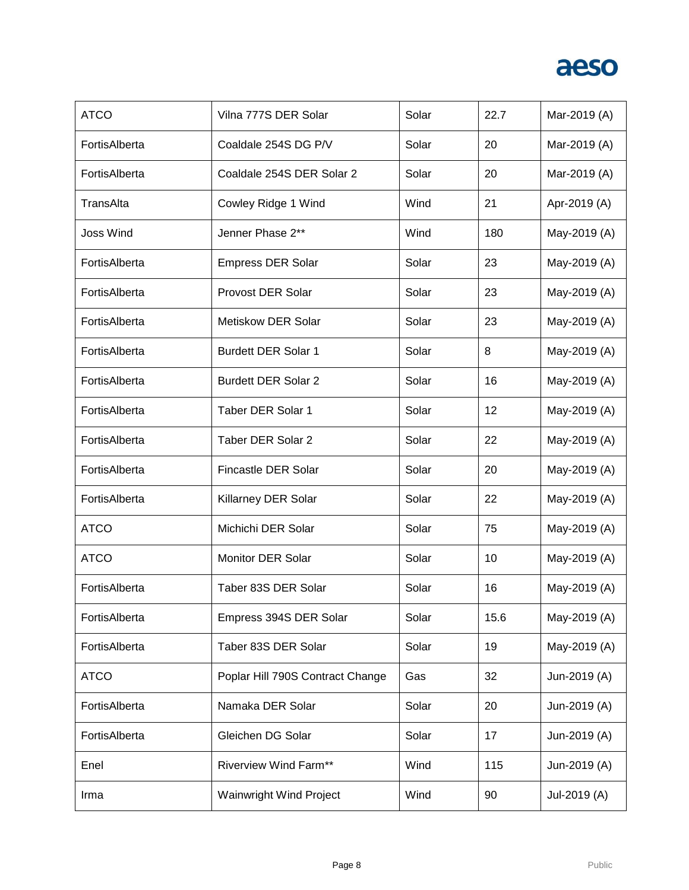

| <b>ATCO</b>      | Vilna 777S DER Solar             | Solar | 22.7 | Mar-2019 (A) |
|------------------|----------------------------------|-------|------|--------------|
| FortisAlberta    | Coaldale 254S DG P/V             | Solar | 20   | Mar-2019 (A) |
| FortisAlberta    | Coaldale 254S DER Solar 2        | Solar | 20   | Mar-2019 (A) |
| TransAlta        | Cowley Ridge 1 Wind              | Wind  | 21   | Apr-2019 (A) |
| <b>Joss Wind</b> | Jenner Phase 2**                 | Wind  | 180  | May-2019 (A) |
| FortisAlberta    | <b>Empress DER Solar</b>         | Solar | 23   | May-2019 (A) |
| FortisAlberta    | <b>Provost DER Solar</b>         | Solar | 23   | May-2019 (A) |
| FortisAlberta    | <b>Metiskow DER Solar</b>        | Solar | 23   | May-2019 (A) |
| FortisAlberta    | <b>Burdett DER Solar 1</b>       | Solar | 8    | May-2019 (A) |
| FortisAlberta    | <b>Burdett DER Solar 2</b>       | Solar | 16   | May-2019 (A) |
| FortisAlberta    | Taber DER Solar 1                | Solar | 12   | May-2019 (A) |
| FortisAlberta    | <b>Taber DER Solar 2</b>         | Solar | 22   | May-2019 (A) |
| FortisAlberta    | Fincastle DER Solar              | Solar | 20   | May-2019 (A) |
| FortisAlberta    | Killarney DER Solar              | Solar | 22   | May-2019 (A) |
| <b>ATCO</b>      | Michichi DER Solar               | Solar | 75   | May-2019 (A) |
| <b>ATCO</b>      | <b>Monitor DER Solar</b>         | Solar | 10   | May-2019 (A) |
| FortisAlberta    | Taber 83S DER Solar              | Solar | 16   | May-2019 (A) |
| FortisAlberta    | Empress 394S DER Solar           | Solar | 15.6 | May-2019 (A) |
| FortisAlberta    | Taber 83S DER Solar              | Solar | 19   | May-2019 (A) |
| <b>ATCO</b>      | Poplar Hill 790S Contract Change | Gas   | 32   | Jun-2019 (A) |
| FortisAlberta    | Namaka DER Solar                 | Solar | 20   | Jun-2019 (A) |
| FortisAlberta    | Gleichen DG Solar                | Solar | 17   | Jun-2019 (A) |
| Enel             | <b>Riverview Wind Farm**</b>     | Wind  | 115  | Jun-2019 (A) |
| Irma             | Wainwright Wind Project          | Wind  | 90   | Jul-2019 (A) |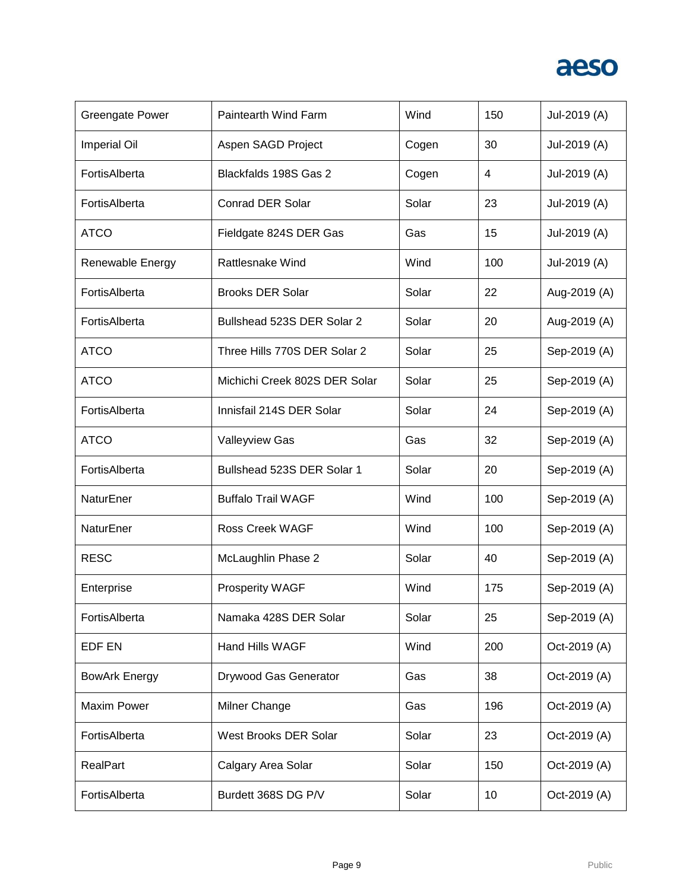

| <b>Greengate Power</b> | Paintearth Wind Farm          | Wind  | 150 | Jul-2019 (A) |
|------------------------|-------------------------------|-------|-----|--------------|
| <b>Imperial Oil</b>    | Aspen SAGD Project            | Cogen | 30  | Jul-2019 (A) |
| FortisAlberta          | Blackfalds 198S Gas 2         | Cogen | 4   | Jul-2019 (A) |
| FortisAlberta          | <b>Conrad DER Solar</b>       | Solar | 23  | Jul-2019 (A) |
| <b>ATCO</b>            | Fieldgate 824S DER Gas        | Gas   | 15  | Jul-2019 (A) |
| Renewable Energy       | <b>Rattlesnake Wind</b>       | Wind  | 100 | Jul-2019 (A) |
| FortisAlberta          | <b>Brooks DER Solar</b>       | Solar | 22  | Aug-2019 (A) |
| FortisAlberta          | Bullshead 523S DER Solar 2    | Solar | 20  | Aug-2019 (A) |
| <b>ATCO</b>            | Three Hills 770S DER Solar 2  | Solar | 25  | Sep-2019 (A) |
| <b>ATCO</b>            | Michichi Creek 802S DER Solar | Solar | 25  | Sep-2019 (A) |
| FortisAlberta          | Innisfail 214S DER Solar      | Solar | 24  | Sep-2019 (A) |
| <b>ATCO</b>            | <b>Valleyview Gas</b>         | Gas   | 32  | Sep-2019 (A) |
| FortisAlberta          | Bullshead 523S DER Solar 1    | Solar | 20  | Sep-2019 (A) |
| NaturEner              | <b>Buffalo Trail WAGF</b>     | Wind  | 100 | Sep-2019 (A) |
| NaturEner              | <b>Ross Creek WAGF</b>        | Wind  | 100 | Sep-2019 (A) |
| <b>RESC</b>            | McLaughlin Phase 2            | Solar | 40  | Sep-2019 (A) |
| Enterprise             | Prosperity WAGF               | Wind  | 175 | Sep-2019 (A) |
| FortisAlberta          | Namaka 428S DER Solar         | Solar | 25  | Sep-2019 (A) |
| EDF EN                 | <b>Hand Hills WAGF</b>        | Wind  | 200 | Oct-2019 (A) |
| <b>BowArk Energy</b>   | Drywood Gas Generator         | Gas   | 38  | Oct-2019 (A) |
| <b>Maxim Power</b>     | Milner Change                 | Gas   | 196 | Oct-2019 (A) |
| FortisAlberta          | West Brooks DER Solar         | Solar | 23  | Oct-2019 (A) |
| RealPart               | Calgary Area Solar            | Solar | 150 | Oct-2019 (A) |
| FortisAlberta          | Burdett 368S DG P/V           | Solar | 10  | Oct-2019 (A) |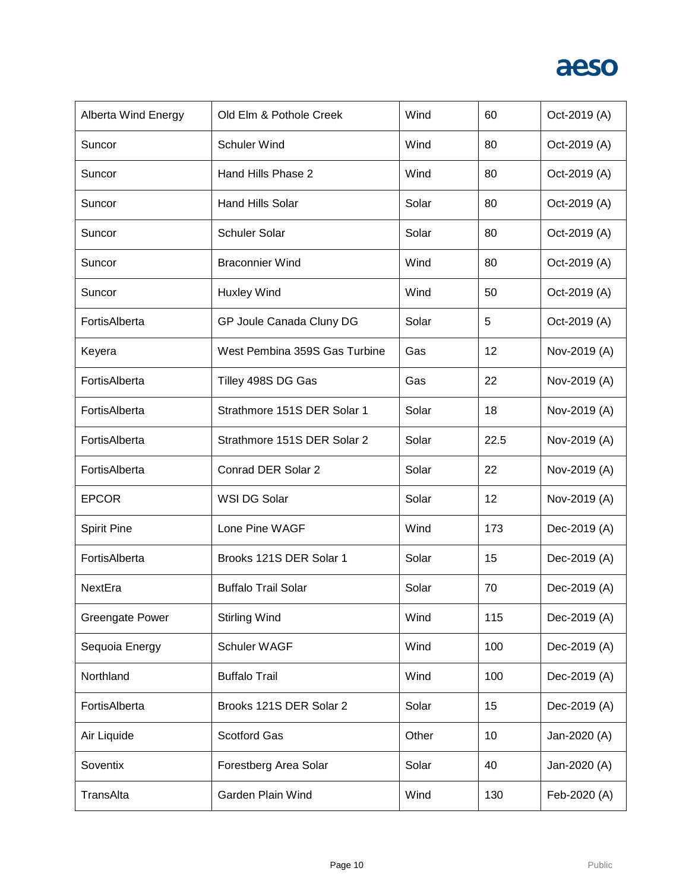

| Alberta Wind Energy    | Old Elm & Pothole Creek       | Wind  | 60   | Oct-2019 (A) |
|------------------------|-------------------------------|-------|------|--------------|
| Suncor                 | <b>Schuler Wind</b>           | Wind  | 80   | Oct-2019 (A) |
| Suncor                 | Hand Hills Phase 2            | Wind  | 80   | Oct-2019 (A) |
| Suncor                 | <b>Hand Hills Solar</b>       | Solar | 80   | Oct-2019 (A) |
| Suncor                 | <b>Schuler Solar</b>          | Solar | 80   | Oct-2019 (A) |
| Suncor                 | <b>Braconnier Wind</b>        | Wind  | 80   | Oct-2019 (A) |
| Suncor                 | <b>Huxley Wind</b>            | Wind  | 50   | Oct-2019 (A) |
| FortisAlberta          | GP Joule Canada Cluny DG      | Solar | 5    | Oct-2019 (A) |
| Keyera                 | West Pembina 359S Gas Turbine | Gas   | 12   | Nov-2019 (A) |
| FortisAlberta          | Tilley 498S DG Gas            | Gas   | 22   | Nov-2019 (A) |
| FortisAlberta          | Strathmore 151S DER Solar 1   | Solar | 18   | Nov-2019 (A) |
| FortisAlberta          | Strathmore 151S DER Solar 2   | Solar | 22.5 | Nov-2019 (A) |
| FortisAlberta          | Conrad DER Solar 2            | Solar | 22   | Nov-2019 (A) |
| <b>EPCOR</b>           | WSI DG Solar                  | Solar | 12   | Nov-2019 (A) |
| <b>Spirit Pine</b>     | Lone Pine WAGF                | Wind  | 173  | Dec-2019 (A) |
| FortisAlberta          | Brooks 121S DER Solar 1       | Solar | 15   | Dec-2019 (A) |
| NextEra                | <b>Buffalo Trail Solar</b>    | Solar | 70   | Dec-2019 (A) |
| <b>Greengate Power</b> | <b>Stirling Wind</b>          | Wind  | 115  | Dec-2019 (A) |
| Sequoia Energy         | Schuler WAGF                  | Wind  | 100  | Dec-2019 (A) |
| Northland              | <b>Buffalo Trail</b>          | Wind  | 100  | Dec-2019 (A) |
| FortisAlberta          | Brooks 121S DER Solar 2       | Solar | 15   | Dec-2019 (A) |
| Air Liquide            | <b>Scotford Gas</b>           | Other | 10   | Jan-2020 (A) |
| Soventix               | Forestberg Area Solar         | Solar | 40   | Jan-2020 (A) |
| TransAlta              | Garden Plain Wind             | Wind  | 130  | Feb-2020 (A) |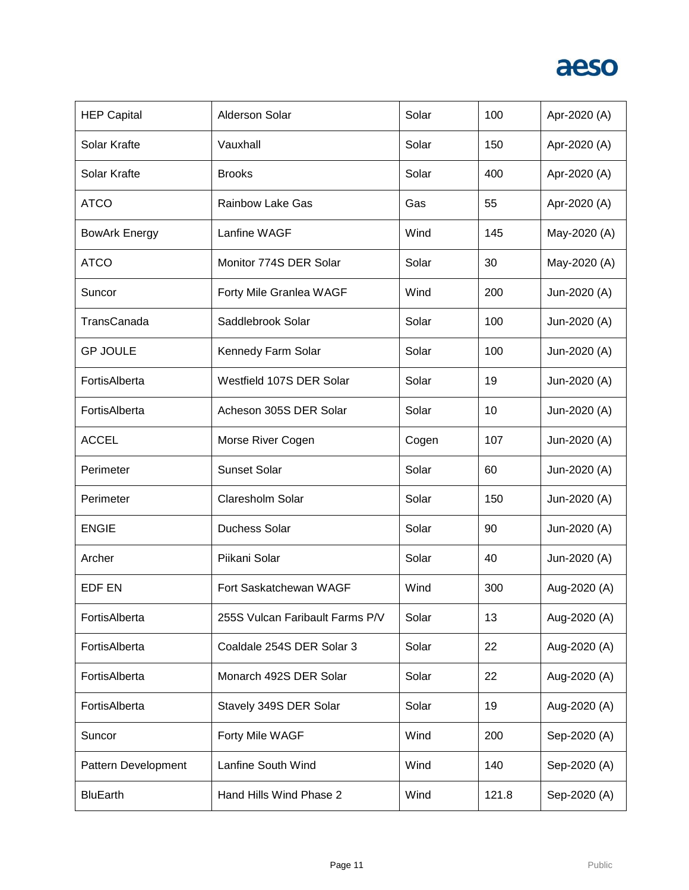

| <b>HEP Capital</b>   | <b>Alderson Solar</b>           | Solar | 100   | Apr-2020 (A) |
|----------------------|---------------------------------|-------|-------|--------------|
| Solar Krafte         | Vauxhall                        | Solar | 150   | Apr-2020 (A) |
| Solar Krafte         | <b>Brooks</b>                   | Solar | 400   | Apr-2020 (A) |
| <b>ATCO</b>          | <b>Rainbow Lake Gas</b>         | Gas   | 55    | Apr-2020 (A) |
| <b>BowArk Energy</b> | Lanfine WAGF                    | Wind  | 145   | May-2020 (A) |
| <b>ATCO</b>          | Monitor 774S DER Solar          | Solar | 30    | May-2020 (A) |
| Suncor               | Forty Mile Granlea WAGF         | Wind  | 200   | Jun-2020 (A) |
| TransCanada          | Saddlebrook Solar               | Solar | 100   | Jun-2020 (A) |
| <b>GP JOULE</b>      | Kennedy Farm Solar              | Solar | 100   | Jun-2020 (A) |
| FortisAlberta        | Westfield 107S DER Solar        | Solar | 19    | Jun-2020 (A) |
| FortisAlberta        | Acheson 305S DER Solar          | Solar | 10    | Jun-2020 (A) |
| <b>ACCEL</b>         | Morse River Cogen               | Cogen | 107   | Jun-2020 (A) |
| Perimeter            | <b>Sunset Solar</b>             | Solar | 60    | Jun-2020 (A) |
| Perimeter            | Claresholm Solar                | Solar | 150   | Jun-2020 (A) |
| <b>ENGIE</b>         | <b>Duchess Solar</b>            | Solar | 90    | Jun-2020 (A) |
| Archer               | Piikani Solar                   | Solar | 40    | Jun-2020 (A) |
| <b>EDF EN</b>        | Fort Saskatchewan WAGF          | Wind  | 300   | Aug-2020 (A) |
| FortisAlberta        | 255S Vulcan Faribault Farms P/V | Solar | 13    | Aug-2020 (A) |
| FortisAlberta        | Coaldale 254S DER Solar 3       | Solar | 22    | Aug-2020 (A) |
| FortisAlberta        | Monarch 492S DER Solar          | Solar | 22    | Aug-2020 (A) |
| FortisAlberta        | Stavely 349S DER Solar          | Solar | 19    | Aug-2020 (A) |
| Suncor               | Forty Mile WAGF                 | Wind  | 200   | Sep-2020 (A) |
| Pattern Development  | Lanfine South Wind              | Wind  | 140   | Sep-2020 (A) |
| <b>BluEarth</b>      | Hand Hills Wind Phase 2         | Wind  | 121.8 | Sep-2020 (A) |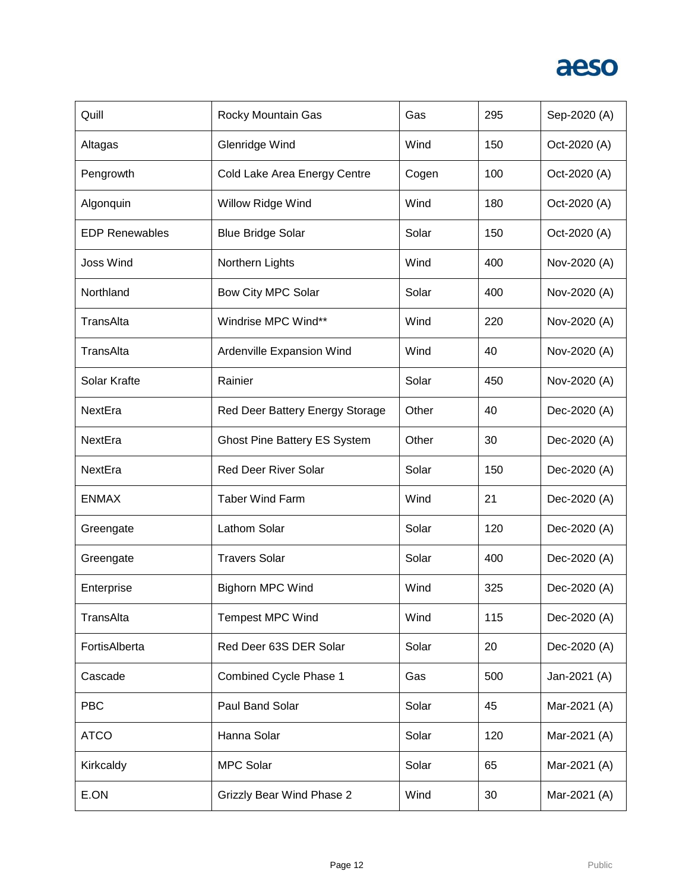

| Quill                 | Rocky Mountain Gas                  | Gas   | 295 | Sep-2020 (A) |
|-----------------------|-------------------------------------|-------|-----|--------------|
| Altagas               | Glenridge Wind                      | Wind  | 150 | Oct-2020 (A) |
| Pengrowth             | Cold Lake Area Energy Centre        | Cogen | 100 | Oct-2020 (A) |
| Algonquin             | Willow Ridge Wind                   | Wind  | 180 | Oct-2020 (A) |
| <b>EDP Renewables</b> | <b>Blue Bridge Solar</b>            | Solar | 150 | Oct-2020 (A) |
| <b>Joss Wind</b>      | Northern Lights                     | Wind  | 400 | Nov-2020 (A) |
| Northland             | Bow City MPC Solar                  | Solar | 400 | Nov-2020 (A) |
| TransAlta             | Windrise MPC Wind**                 | Wind  | 220 | Nov-2020 (A) |
| TransAlta             | Ardenville Expansion Wind           | Wind  | 40  | Nov-2020 (A) |
| Solar Krafte          | Rainier                             | Solar | 450 | Nov-2020 (A) |
| NextEra               | Red Deer Battery Energy Storage     | Other | 40  | Dec-2020 (A) |
| NextEra               | <b>Ghost Pine Battery ES System</b> | Other | 30  | Dec-2020 (A) |
| NextEra               | <b>Red Deer River Solar</b>         | Solar | 150 | Dec-2020 (A) |
| <b>ENMAX</b>          | <b>Taber Wind Farm</b>              | Wind  | 21  | Dec-2020 (A) |
| Greengate             | Lathom Solar                        | Solar | 120 | Dec-2020 (A) |
| Greengate             | <b>Travers Solar</b>                | Solar | 400 | Dec-2020 (A) |
| Enterprise            | <b>Bighorn MPC Wind</b>             | Wind  | 325 | Dec-2020 (A) |
| TransAlta             | <b>Tempest MPC Wind</b>             | Wind  | 115 | Dec-2020 (A) |
| FortisAlberta         | Red Deer 63S DER Solar              | Solar | 20  | Dec-2020 (A) |
| Cascade               | Combined Cycle Phase 1              | Gas   | 500 | Jan-2021 (A) |
| <b>PBC</b>            | Paul Band Solar                     | Solar | 45  | Mar-2021 (A) |
| <b>ATCO</b>           | Hanna Solar                         | Solar | 120 | Mar-2021 (A) |
| Kirkcaldy             | <b>MPC Solar</b>                    | Solar | 65  | Mar-2021 (A) |
| E.ON                  | <b>Grizzly Bear Wind Phase 2</b>    | Wind  | 30  | Mar-2021 (A) |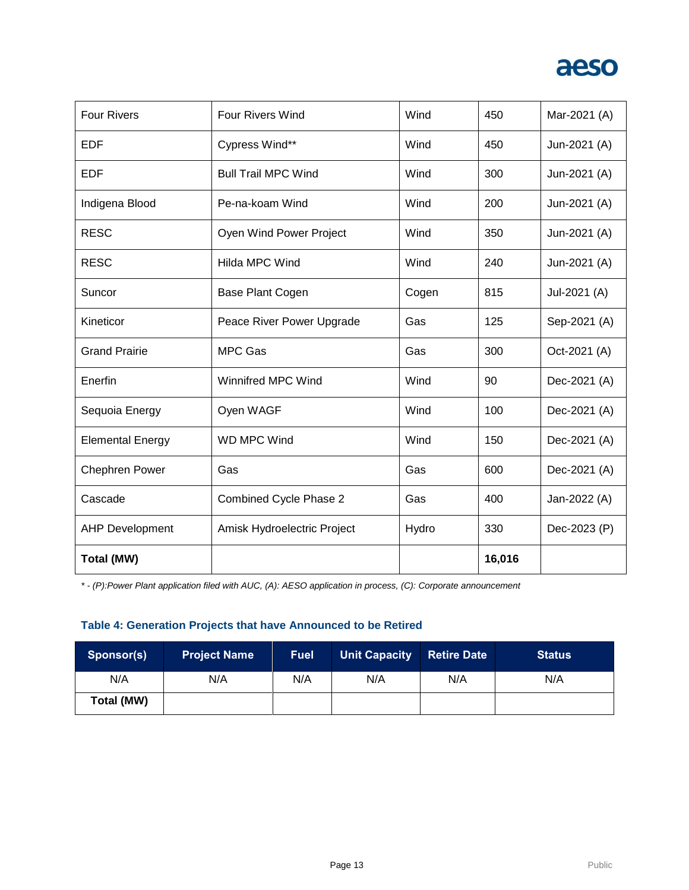

| <b>Four Rivers</b>      | <b>Four Rivers Wind</b>       | Wind  | 450    | Mar-2021 (A) |
|-------------------------|-------------------------------|-------|--------|--------------|
| <b>EDF</b>              | Cypress Wind**                | Wind  | 450    | Jun-2021 (A) |
| <b>EDF</b>              | <b>Bull Trail MPC Wind</b>    | Wind  | 300    | Jun-2021 (A) |
| Indigena Blood          | Pe-na-koam Wind               | Wind  | 200    | Jun-2021 (A) |
| <b>RESC</b>             | Oyen Wind Power Project       | Wind  | 350    | Jun-2021 (A) |
| <b>RESC</b>             | <b>Hilda MPC Wind</b>         | Wind  | 240    | Jun-2021 (A) |
| Suncor                  | Base Plant Cogen              | Cogen | 815    | Jul-2021 (A) |
| Kineticor               | Peace River Power Upgrade     | Gas   | 125    | Sep-2021 (A) |
| <b>Grand Prairie</b>    | <b>MPC Gas</b>                | Gas   | 300    | Oct-2021 (A) |
| Enerfin                 | <b>Winnifred MPC Wind</b>     | Wind  | 90     | Dec-2021 (A) |
| Sequoia Energy          | Oyen WAGF                     | Wind  | 100    | Dec-2021 (A) |
| <b>Elemental Energy</b> | WD MPC Wind                   | Wind  | 150    | Dec-2021 (A) |
| <b>Chephren Power</b>   | Gas                           | Gas   | 600    | Dec-2021 (A) |
| Cascade                 | <b>Combined Cycle Phase 2</b> | Gas   | 400    | Jan-2022 (A) |
| <b>AHP Development</b>  | Amisk Hydroelectric Project   | Hydro | 330    | Dec-2023 (P) |
| Total (MW)              |                               |       | 16,016 |              |

*\* - (P):Power Plant application filed with AUC, (A): AESO application in process, (C): Corporate announcement*

# **Table 4: Generation Projects that have Announced to be Retired**

| Sponsor(s) | <b>Project Name</b> | <b>Fuel</b> | <b>Unit Capacity</b> | <b>Retire Date</b> | <b>Status</b> |
|------------|---------------------|-------------|----------------------|--------------------|---------------|
| N/A        | N/A                 | N/A         | N/A                  | N/A                | N/A           |
| Total (MW) |                     |             |                      |                    |               |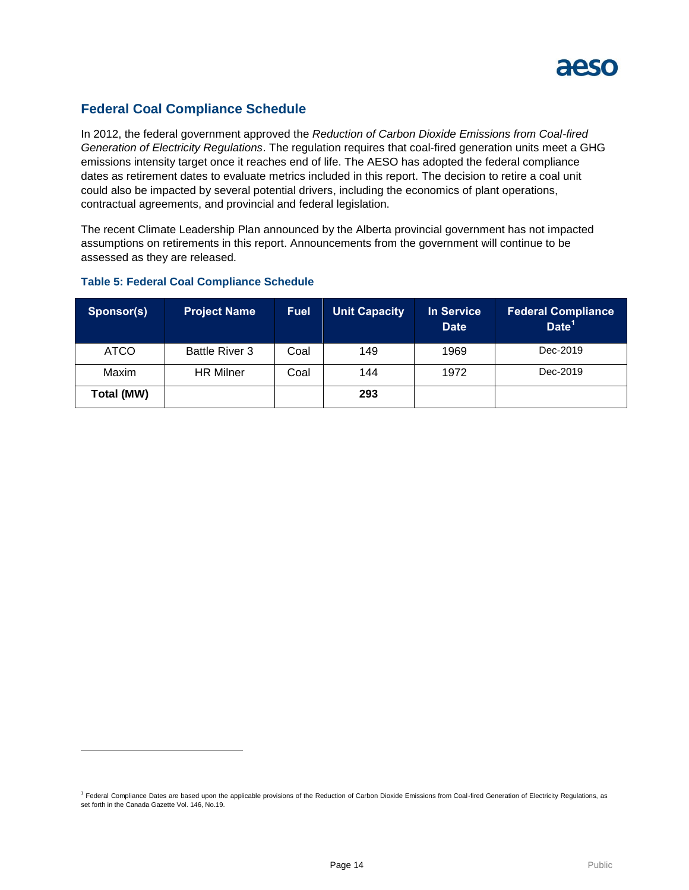

# **Federal Coal Compliance Schedule**

In 2012, the federal government approved the *Reduction of Carbon Dioxide Emissions from Coal-fired Generation of Electricity Regulations*. The regulation requires that coal-fired generation units meet a GHG emissions intensity target once it reaches end of life. The AESO has adopted the federal compliance dates as retirement dates to evaluate metrics included in this report. The decision to retire a coal unit could also be impacted by several potential drivers, including the economics of plant operations, contractual agreements, and provincial and federal legislation.

The recent Climate Leadership Plan announced by the Alberta provincial government has not impacted assumptions on retirements in this report. Announcements from the government will continue to be assessed as they are released.

# **Sponsor(s) Project Name Fuel Unit Capacity In Service Date Federal Compliance Date<sup>1</sup>** ATCO | Battle River 3 | Coal | 149 | 1969 | Dec-2019 Maxim HR Milner Coal 144 1972 Dec-2019

#### **Table 5: Federal Coal Compliance Schedule**

l

**Total (MW) 293**

<sup>&</sup>lt;sup>1</sup> Federal Compliance Dates are based upon the applicable provisions of the Reduction of Carbon Dioxide Emissions from Coal-fired Generation of Electricity Regulations, as set forth in the Canada Gazette Vol. 146, No.19.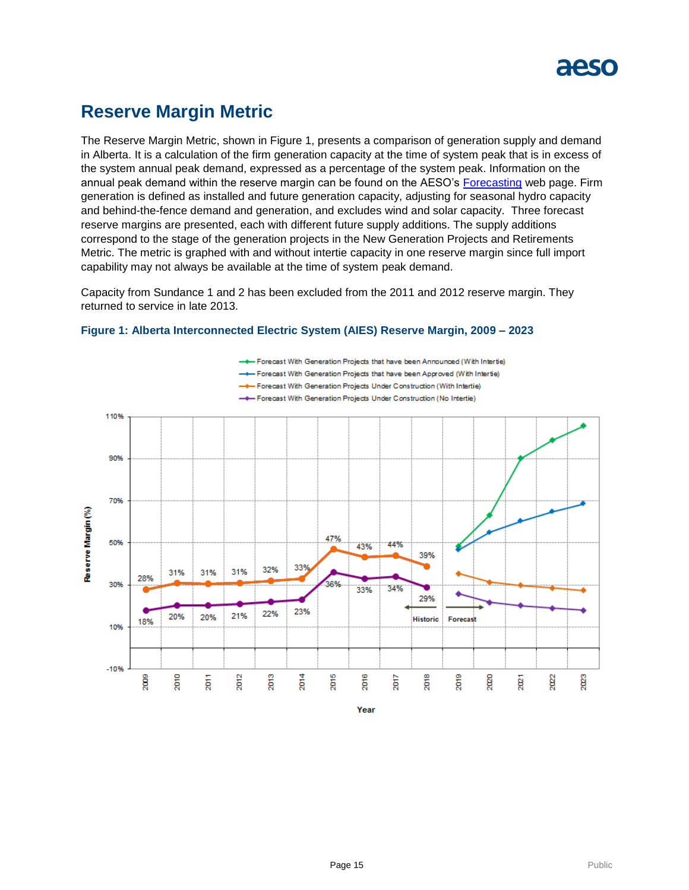

# **Reserve Margin Metric**

The Reserve Margin Metric, shown in Figure 1, presents a comparison of generation supply and demand in Alberta. It is a calculation of the firm generation capacity at the time of system peak that is in excess of the system annual peak demand, expressed as a percentage of the system peak. Information on the annual peak demand within the reserve margin can be found on the AESO's [Forecasting](https://www.aeso.ca/grid/forecasting) web page. Firm generation is defined as installed and future generation capacity, adjusting for seasonal hydro capacity and behind-the-fence demand and generation, and excludes wind and solar capacity. Three forecast reserve margins are presented, each with different future supply additions. The supply additions correspond to the stage of the generation projects in the New Generation Projects and Retirements Metric. The metric is graphed with and without intertie capacity in one reserve margin since full import capability may not always be available at the time of system peak demand.

Capacity from Sundance 1 and 2 has been excluded from the 2011 and 2012 reserve margin. They returned to service in late 2013.



#### **Figure 1: Alberta Interconnected Electric System (AIES) Reserve Margin, 2009 – 2023**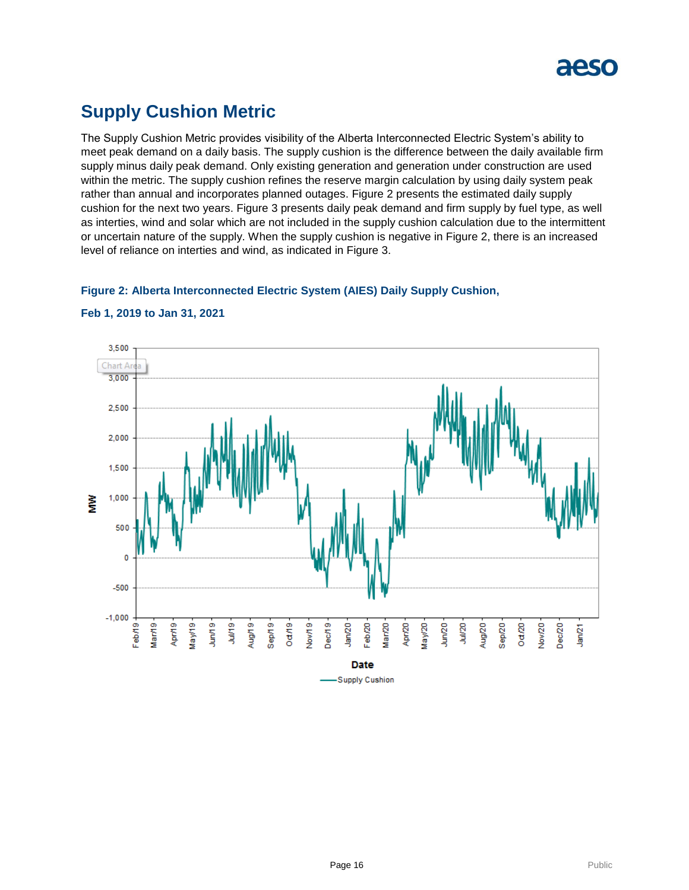

# **Supply Cushion Metric**

The Supply Cushion Metric provides visibility of the Alberta Interconnected Electric System's ability to meet peak demand on a daily basis. The supply cushion is the difference between the daily available firm supply minus daily peak demand. Only existing generation and generation under construction are used within the metric. The supply cushion refines the reserve margin calculation by using daily system peak rather than annual and incorporates planned outages. Figure 2 presents the estimated daily supply cushion for the next two years. Figure 3 presents daily peak demand and firm supply by fuel type, as well as interties, wind and solar which are not included in the supply cushion calculation due to the intermittent or uncertain nature of the supply. When the supply cushion is negative in Figure 2, there is an increased level of reliance on interties and wind, as indicated in Figure 3.

### **Figure 2: Alberta Interconnected Electric System (AIES) Daily Supply Cushion,**



#### **Feb 1, 2019 to Jan 31, 2021**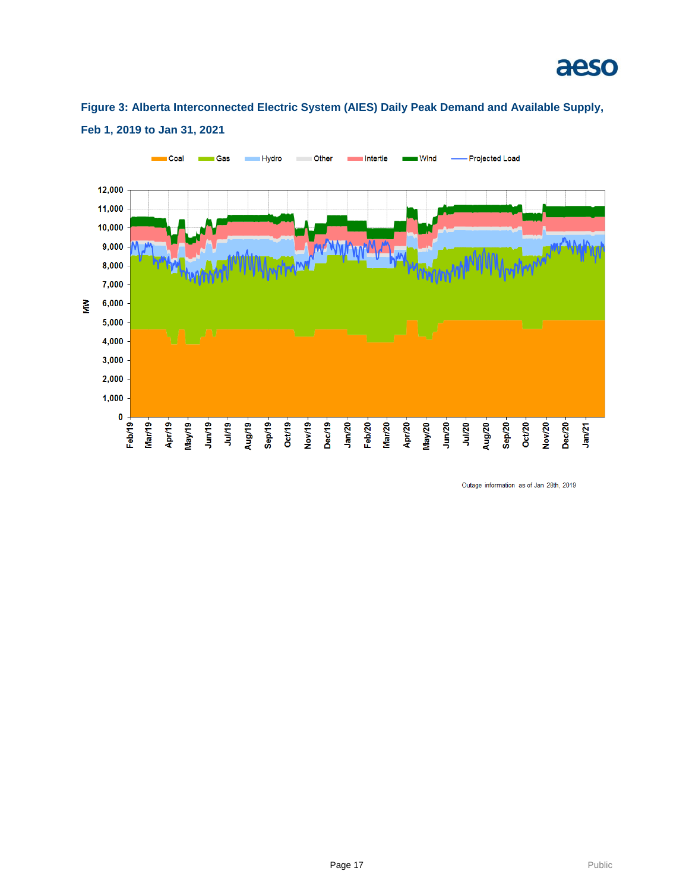# aeso



**Figure 3: Alberta Interconnected Electric System (AIES) Daily Peak Demand and Available Supply, Feb 1, 2019 to Jan 31, 2021**

Outage information as of Jan 28th, 2019